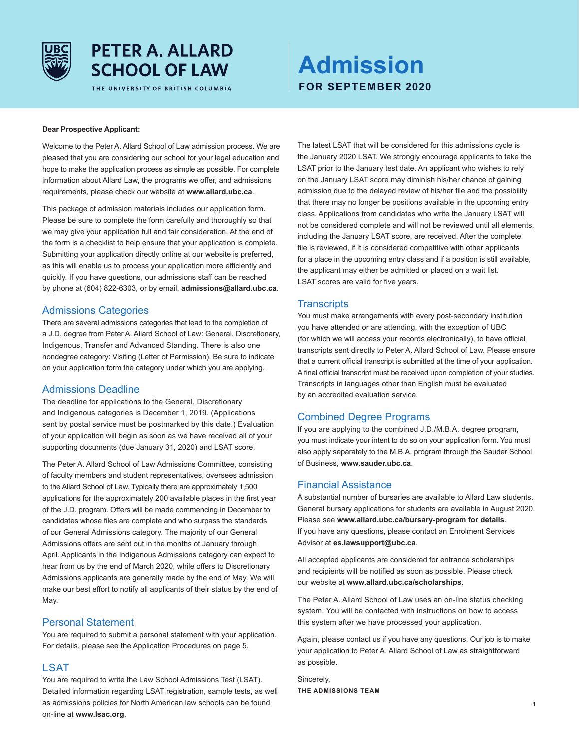

# **PETER A. ALLARD SCHOOL OF LAW**

THE UNIVERSITY OF BRITISH COLUMBIA

# **Admission FOR SEPTEMBER 2020**

#### **Dear Prospective Applicant:**

Welcome to the Peter A. Allard School of Law admission process. We are pleased that you are considering our school for your legal education and hope to make the application process as simple as possible. For complete information about Allard Law, the programs we offer, and admissions requirements, please check our website at **www.allard.ubc.ca**.

This package of admission materials includes our application form. Please be sure to complete the form carefully and thoroughly so that we may give your application full and fair consideration. At the end of the form is a checklist to help ensure that your application is complete. Submitting your application directly online at our website is preferred, as this will enable us to process your application more efficiently and quickly. If you have questions, our admissions staff can be reached by phone at (604) 822-6303, or by email, **admissions@allard.ubc.ca**.

## Admissions Categories

There are several admissions categories that lead to the completion of a J.D. degree from Peter A. Allard School of Law: General, Discretionary, Indigenous, Transfer and Advanced Standing. There is also one nondegree category: Visiting (Letter of Permission). Be sure to indicate on your application form the category under which you are applying.

## Admissions Deadline

The deadline for applications to the General, Discretionary and Indigenous categories is December 1, 2019. (Applications sent by postal service must be postmarked by this date.) Evaluation of your application will begin as soon as we have received all of your supporting documents (due January 31, 2020) and LSAT score.

The Peter A. Allard School of Law Admissions Committee, consisting of faculty members and student representatives, oversees admission to the Allard School of Law. Typically there are approximately 1,500 applications for the approximately 200 available places in the first year of the J.D. program. Offers will be made commencing in December to candidates whose files are complete and who surpass the standards of our General Admissions category. The majority of our General Admissions offers are sent out in the months of January through April. Applicants in the Indigenous Admissions category can expect to hear from us by the end of March 2020, while offers to Discretionary Admissions applicants are generally made by the end of May. We will make our best effort to notify all applicants of their status by the end of May.

### Personal Statement

You are required to submit a personal statement with your application. For details, please see the Application Procedures on page 5.

# **LSAT**

You are required to write the Law School Admissions Test (LSAT). Detailed information regarding LSAT registration, sample tests, as well as admissions policies for North American law schools can be found on-line at **www.lsac.org**.

The latest LSAT that will be considered for this admissions cycle is the January 2020 LSAT. We strongly encourage applicants to take the LSAT prior to the January test date. An applicant who wishes to rely on the January LSAT score may diminish his/her chance of gaining admission due to the delayed review of his/her file and the possibility that there may no longer be positions available in the upcoming entry class. Applications from candidates who write the January LSAT will not be considered complete and will not be reviewed until all elements, including the January LSAT score, are received. After the complete file is reviewed, if it is considered competitive with other applicants for a place in the upcoming entry class and if a position is still available, the applicant may either be admitted or placed on a wait list. LSAT scores are valid for five years.

## **Transcripts**

You must make arrangements with every post-secondary institution you have attended or are attending, with the exception of UBC (for which we will access your records electronically), to have official transcripts sent directly to Peter A. Allard School of Law. Please ensure that a current official transcript is submitted at the time of your application. A final official transcript must be received upon completion of your studies. Transcripts in languages other than English must be evaluated by an accredited evaluation service.

# Combined Degree Programs

If you are applying to the combined J.D./M.B.A. degree program, you must indicate your intent to do so on your application form. You must also apply separately to the M.B.A. program through the Sauder School of Business, **www.sauder.ubc.ca**.

## Financial Assistance

A substantial number of bursaries are available to Allard Law students. General bursary applications for students are available in August 2020. Please see **www.allard.ubc.ca/bursary-program for details**. If you have any questions, please contact an Enrolment Services Advisor at **es.lawsupport@ubc.ca**.

All accepted applicants are considered for entrance scholarships and recipients will be notified as soon as possible. Please check our website at **www.allard.ubc.ca/scholarships**.

The Peter A. Allard School of Law uses an on-line status checking system. You will be contacted with instructions on how to access this system after we have processed your application.

Again, please contact us if you have any questions. Our job is to make your application to Peter A. Allard School of Law as straightforward as possible.

Sincerely, **THE ADMISSIONS TEAM**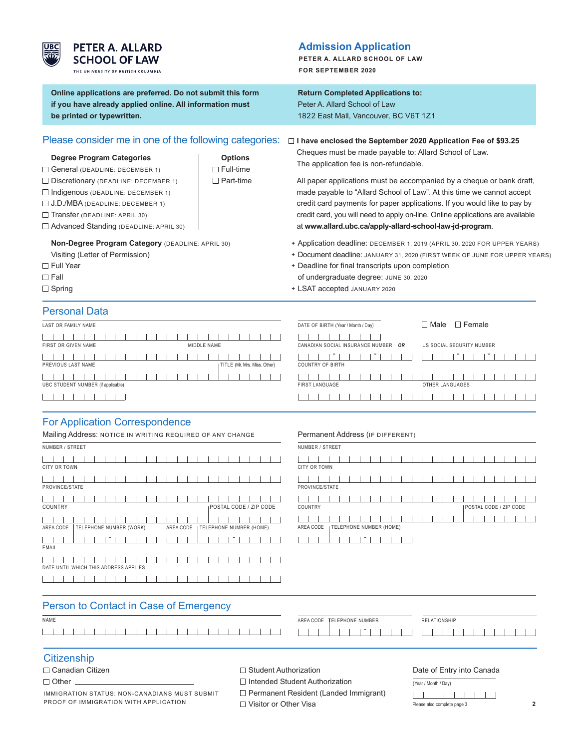

# **PETER A. ALLARD SCHOOL OF LAW**

THE UNIVERSITY OF BRITISH COLUMBIA

**Online applications are preferred. Do not submit this form if you have already applied online. All information must be printed or typewritten.**

# Please consider me in one of the following categories:

#### **Degree Program Categories Degree Program Categories Options**

- $\Box$  General (DEADLINE: DECEMBER 1)  $\Box$  Full-time
- □ Discretionary (DEADLINE: DECEMBER 1) □ Part-time
- $\Box$  Indigenous (DEADLINE: DECEMBER 1)
- J.D./MBA (DEADLINE: DECEMBER 1)
- Transfer (DEADLINE: APRIL 30)
- Advanced Standing (DEADLINE: APRIL 30)

# **Non-Degree Program Category** (DEADLINE: APRIL 30)

Visiting (Letter of Permission)

- □ Full Year
- $\square$  Fall
- $\Box$  Spring

# **Admission Application**

**PETER A. ALLARD SCHOOL OF LAW FOR SEPTEMBER 2020**

# **Return Completed Applications to:**

Peter A. Allard School of Law 1822 East Mall, Vancouver, BC V6T 1Z1

 **I have enclosed the September 2020 Application Fee of \$93.25** Cheques must be made payable to: Allard School of Law.

The application fee is non-refundable.

 All paper applications must be accompanied by a cheque or bank draft, made payable to "Allard School of Law". At this time we cannot accept credit card payments for paper applications. If you would like to pay by credit card, you will need to apply on-line. Online applications are available at **www.allard.ubc.ca/apply-allard-school-law-jd-program**.

- **+** Application deadline: DECEMBER 1, 2019 (APRIL 30, 2020 FOR UPPER YEARS)
- **+** Document deadline: JANUARY 31, 2020 (FIRST WEEK OF JUNE FOR UPPER YEARS)
- **+** Deadline for final transcripts upon completion of undergraduate degree: JUNE 30, 2020
- **+** LSAT accepted JANUARY 2020

# Personal Data

| LAST OR FAMILY NAME                |  |  |  |             |  |                              |  |
|------------------------------------|--|--|--|-------------|--|------------------------------|--|
|                                    |  |  |  |             |  |                              |  |
| FIRST OR GIVEN NAME                |  |  |  | MIDDLE NAME |  |                              |  |
| .                                  |  |  |  |             |  |                              |  |
| PREVIOUS LAST NAME                 |  |  |  |             |  | TITLE (Mr. Mrs. Miss. Other) |  |
| .                                  |  |  |  |             |  |                              |  |
| UBC STUDENT NUMBER (if applicable) |  |  |  |             |  |                              |  |
|                                    |  |  |  |             |  |                              |  |

# For Application Correspondence

| Mailing Address: NOTICE IN WRITING REQUIRED OF ANY CHANGE                             |  |  |  |  |  |  |  |
|---------------------------------------------------------------------------------------|--|--|--|--|--|--|--|
| NUMBER / STREET                                                                       |  |  |  |  |  |  |  |
| <b>CITY OR TOWN</b>                                                                   |  |  |  |  |  |  |  |
| PROVINCE/STATE                                                                        |  |  |  |  |  |  |  |
| COUNTRY<br>POSTAL CODE / ZIP CODE                                                     |  |  |  |  |  |  |  |
|                                                                                       |  |  |  |  |  |  |  |
| TELEPHONE NUMBER (WORK)<br>AREA CODE<br><b>I TELEPHONE NUMBER (HOME)</b><br>AREA CODE |  |  |  |  |  |  |  |
| EMAIL                                                                                 |  |  |  |  |  |  |  |
|                                                                                       |  |  |  |  |  |  |  |
| DATE UNTIL WHICH THIS ADDRESS APPLIES                                                 |  |  |  |  |  |  |  |
|                                                                                       |  |  |  |  |  |  |  |

#### $\overline{\text{DATE OF BIRTH (Year/Month/Day)}}$  Male  $\Box$  Female  $-1$   $-1$   $-1$   $-1$   $-1$   $-1$  $\mathbf{L}$ CANADIAN SOCIAL INSURANCE NUMBER *OR* US SOCIAL SECURITY NUMBER - - - -  $\mathbb{L}$ COUNTRY OF BIRTH  $1 - 1 - 1 - 1$ <u> 1 - 1 - 1 - 1 - 1 - 1 - 1 - 1 - 1</u> FIRST LANGUAGE OTHER LANGUAGES  $1 - 1 - 1 - 1 - 1$ <u> 1 1 1 1 1 1 1 1 1 1 1 1 1 1 1 1 1 1</u>

#### Permanent Address (IF DIFFERENT)

| NUMBER / STREET                                   |
|---------------------------------------------------|
| <b>CITY OR TOWN</b>                               |
| PROVINCE/STATE                                    |
| COUNTRY<br>POSTAL CODE / ZIP CODE                 |
| AREA CODE<br><sub>I</sub> TELEPHONE NUMBER (HOME) |
|                                                   |

| Person to Contact in Case of Emergency |                              |              |
|----------------------------------------|------------------------------|--------------|
| NAME                                   | AREA CODE   TELEPHONE NUMBER | RELATIONSHIP |
|                                        |                              |              |

## **Citizenship**

#### $\Box$  Other  $\Box$

IMMIGRATION STATUS: NON-CANADIANS MUST SUBMIT PROOF OF IMMIGRATION WITH APPLICATION

 $\Box$  Student Authorization

□ Intended Student Authorization

Permanent Resident (Landed Immigrant)

□ Visitor or Other Visa

#### Date of Entry into Canada

(Year / Month / Day)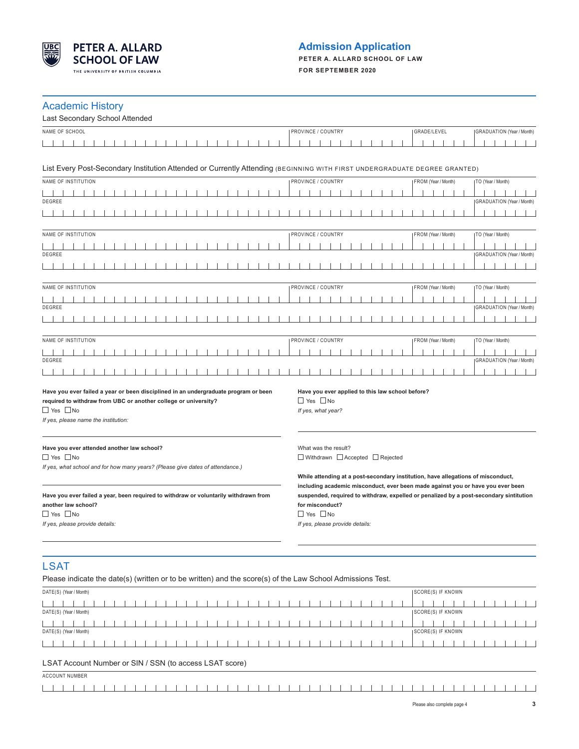

# **Admission Application**

**PETER A. ALLARD SCHOOL OF LAW FOR SEPTEMBER 2020**

## Academic History

| NAME OF SCHOOL<br>PROVINCE / COUNTRY<br>GRADE/LEVEL<br><b>GRADUATION</b> (Year / Month)<br>List Every Post-Secondary Institution Attended or Currently Attending (BEGINNING WITH FIRST UNDERGRADUATE DEGREE GRANTED)<br>NAME OF INSTITUTION<br>PROVINCE / COUNTRY<br>TO (Year / Month)<br>FROM (Year / Month)<br><b>GRADUATION</b> (Year / Month)<br>DEGREE<br>NAME OF INSTITUTION<br>PROVINCE / COUNTRY<br>FROM (Year / Month)<br>TO (Year / Month)<br>DEGREE<br><b>GRADUATION</b> (Year / Month)<br>NAME OF INSTITUTION<br>PROVINCE / COUNTRY<br>FROM (Year / Month)<br>TO (Year / Month)<br>DEGREE<br><b>GRADUATION</b> (Year / Month)<br>NAME OF INSTITUTION<br>PROVINCE / COUNTRY<br>FROM (Year / Month)<br>  TO (Year / Month)<br>DEGREE<br>GRADUATION (Year / Month)<br>Have you ever failed a year or been disciplined in an undergraduate program or been<br>Have you ever applied to this law school before?<br>required to withdraw from UBC or another college or university?<br>$\Box$ Yes $\Box$ No<br>$\Box$ Yes $\Box$ No<br>If yes, what year?<br>If yes, please name the institution: |
|---------------------------------------------------------------------------------------------------------------------------------------------------------------------------------------------------------------------------------------------------------------------------------------------------------------------------------------------------------------------------------------------------------------------------------------------------------------------------------------------------------------------------------------------------------------------------------------------------------------------------------------------------------------------------------------------------------------------------------------------------------------------------------------------------------------------------------------------------------------------------------------------------------------------------------------------------------------------------------------------------------------------------------------------------------------------------------------------------------|
|                                                                                                                                                                                                                                                                                                                                                                                                                                                                                                                                                                                                                                                                                                                                                                                                                                                                                                                                                                                                                                                                                                         |
|                                                                                                                                                                                                                                                                                                                                                                                                                                                                                                                                                                                                                                                                                                                                                                                                                                                                                                                                                                                                                                                                                                         |
|                                                                                                                                                                                                                                                                                                                                                                                                                                                                                                                                                                                                                                                                                                                                                                                                                                                                                                                                                                                                                                                                                                         |
|                                                                                                                                                                                                                                                                                                                                                                                                                                                                                                                                                                                                                                                                                                                                                                                                                                                                                                                                                                                                                                                                                                         |
|                                                                                                                                                                                                                                                                                                                                                                                                                                                                                                                                                                                                                                                                                                                                                                                                                                                                                                                                                                                                                                                                                                         |
|                                                                                                                                                                                                                                                                                                                                                                                                                                                                                                                                                                                                                                                                                                                                                                                                                                                                                                                                                                                                                                                                                                         |
|                                                                                                                                                                                                                                                                                                                                                                                                                                                                                                                                                                                                                                                                                                                                                                                                                                                                                                                                                                                                                                                                                                         |
|                                                                                                                                                                                                                                                                                                                                                                                                                                                                                                                                                                                                                                                                                                                                                                                                                                                                                                                                                                                                                                                                                                         |
|                                                                                                                                                                                                                                                                                                                                                                                                                                                                                                                                                                                                                                                                                                                                                                                                                                                                                                                                                                                                                                                                                                         |
|                                                                                                                                                                                                                                                                                                                                                                                                                                                                                                                                                                                                                                                                                                                                                                                                                                                                                                                                                                                                                                                                                                         |
|                                                                                                                                                                                                                                                                                                                                                                                                                                                                                                                                                                                                                                                                                                                                                                                                                                                                                                                                                                                                                                                                                                         |
|                                                                                                                                                                                                                                                                                                                                                                                                                                                                                                                                                                                                                                                                                                                                                                                                                                                                                                                                                                                                                                                                                                         |
|                                                                                                                                                                                                                                                                                                                                                                                                                                                                                                                                                                                                                                                                                                                                                                                                                                                                                                                                                                                                                                                                                                         |
|                                                                                                                                                                                                                                                                                                                                                                                                                                                                                                                                                                                                                                                                                                                                                                                                                                                                                                                                                                                                                                                                                                         |
|                                                                                                                                                                                                                                                                                                                                                                                                                                                                                                                                                                                                                                                                                                                                                                                                                                                                                                                                                                                                                                                                                                         |
|                                                                                                                                                                                                                                                                                                                                                                                                                                                                                                                                                                                                                                                                                                                                                                                                                                                                                                                                                                                                                                                                                                         |
|                                                                                                                                                                                                                                                                                                                                                                                                                                                                                                                                                                                                                                                                                                                                                                                                                                                                                                                                                                                                                                                                                                         |
|                                                                                                                                                                                                                                                                                                                                                                                                                                                                                                                                                                                                                                                                                                                                                                                                                                                                                                                                                                                                                                                                                                         |
|                                                                                                                                                                                                                                                                                                                                                                                                                                                                                                                                                                                                                                                                                                                                                                                                                                                                                                                                                                                                                                                                                                         |
|                                                                                                                                                                                                                                                                                                                                                                                                                                                                                                                                                                                                                                                                                                                                                                                                                                                                                                                                                                                                                                                                                                         |
|                                                                                                                                                                                                                                                                                                                                                                                                                                                                                                                                                                                                                                                                                                                                                                                                                                                                                                                                                                                                                                                                                                         |
| Have you ever attended another law school?<br>What was the result?<br>$\Box$ Yes $\Box$ No<br>$\Box$ Withdrawn $\Box$ Accepted $\Box$ Rejected<br>If yes, what school and for how many years? (Please give dates of attendance.)<br>While attending at a post-secondary institution, have allegations of misconduct,                                                                                                                                                                                                                                                                                                                                                                                                                                                                                                                                                                                                                                                                                                                                                                                    |
| including academic misconduct, ever been made against you or have you ever been<br>suspended, required to withdraw, expelled or penalized by a post-secondary sintitution<br>Have you ever failed a year, been required to withdraw or voluntarily withdrawn from<br>another law school?<br>for misconduct?<br>$\Box$ Yes $\Box$ No<br>$\Box$ Yes $\Box$ No<br>If yes, please provide details:<br>If yes, please provide details:                                                                                                                                                                                                                                                                                                                                                                                                                                                                                                                                                                                                                                                                       |
| <b>LSAT</b><br>Please indicate the date(s) (written or to be written) and the score(s) of the Law School Admissions Test.                                                                                                                                                                                                                                                                                                                                                                                                                                                                                                                                                                                                                                                                                                                                                                                                                                                                                                                                                                               |

| DATE(S) (Year / Month)                                  | SCORE(S) IF KNOWN         |  |  |  |  |  |  |  |  |
|---------------------------------------------------------|---------------------------|--|--|--|--|--|--|--|--|
|                                                         |                           |  |  |  |  |  |  |  |  |
| DATE(S) (Year / Month)                                  | <b>ISCORE(S) IF KNOWN</b> |  |  |  |  |  |  |  |  |
|                                                         |                           |  |  |  |  |  |  |  |  |
| DATE(S) (Year / Month)                                  | SCORE(S) IF KNOWN         |  |  |  |  |  |  |  |  |
|                                                         |                           |  |  |  |  |  |  |  |  |
| LSAT Account Number or SIN / SSN (to access LSAT score) |                           |  |  |  |  |  |  |  |  |
| <b>ACCOUNT NUMBER</b>                                   |                           |  |  |  |  |  |  |  |  |
|                                                         |                           |  |  |  |  |  |  |  |  |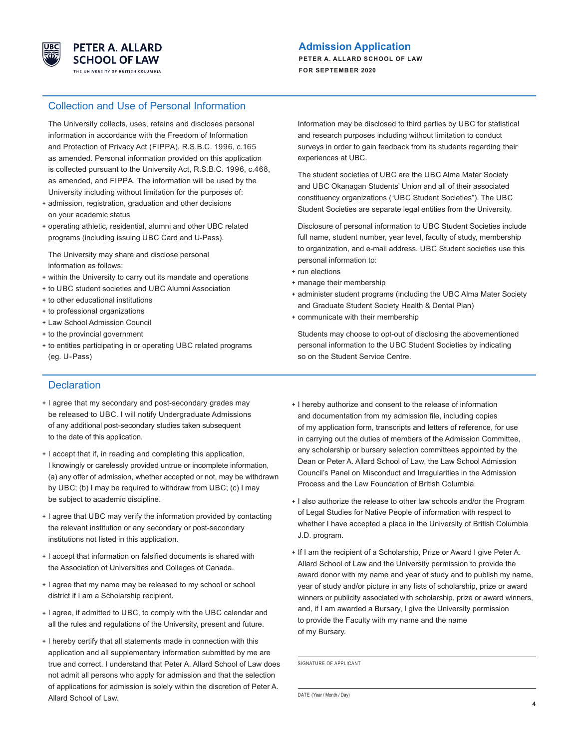

## **Admission Application**

**PETER A. ALLARD SCHOOL OF LAW FOR SEPTEMBER 2020**

## Collection and Use of Personal Information

 The University collects, uses, retains and discloses personal information in accordance with the Freedom of Information and Protection of Privacy Act (FIPPA), R.S.B.C. 1996, c.165 as amended. Personal information provided on this application is collected pursuant to the University Act, R.S.B.C. 1996, c.468, as amended, and FIPPA. The information will be used by the University including without limitation for the purposes of:

- **+** admission, registration, graduation and other decisions on your academic status
- **+** operating athletic, residential, alumni and other UBC related programs (including issuing UBC Card and U-Pass).

 The University may share and disclose personal information as follows:

- **+** within the University to carry out its mandate and operations
- **+** to UBC student societies and UBC Alumni Association
- **+** to other educational institutions
- **+** to professional organizations
- **+** Law School Admission Council
- **+** to the provincial government
- **+** to entities participating in or operating UBC related programs (eg. U-Pass)

**Declaration** 

- **+** I agree that my secondary and post-secondary grades may be released to UBC. I will notify Undergraduate Admissions of any additional post-secondary studies taken subsequent to the date of this application.
- **+** I accept that if, in reading and completing this application, I knowingly or carelessly provided untrue or incomplete information, (a) any offer of admission, whether accepted or not, may be withdrawn by UBC; (b) I may be required to withdraw from UBC; (c) I may be subject to academic discipline.
- **+** I agree that UBC may verify the information provided by contacting the relevant institution or any secondary or post-secondary institutions not listed in this application.
- **+** I accept that information on falsified documents is shared with the Association of Universities and Colleges of Canada.
- **+** I agree that my name may be released to my school or school district if I am a Scholarship recipient.
- **+** I agree, if admitted to UBC, to comply with the UBC calendar and all the rules and regulations of the University, present and future.
- **+** I hereby certify that all statements made in connection with this application and all supplementary information submitted by me are true and correct. I understand that Peter A. Allard School of Law does not admit all persons who apply for admission and that the selection of applications for admission is solely within the discretion of Peter A. Allard School of Law.

 Information may be disclosed to third parties by UBC for statistical and research purposes including without limitation to conduct surveys in order to gain feedback from its students regarding their experiences at UBC.

 The student societies of UBC are the UBC Alma Mater Society and UBC Okanagan Students' Union and all of their associated constituency organizations ("UBC Student Societies"). The UBC Student Societies are separate legal entities from the University.

 Disclosure of personal information to UBC Student Societies include full name, student number, year level, faculty of study, membership to organization, and e-mail address. UBC Student societies use this personal information to:

- **+** run elections
- **+** manage their membership
- **+** administer student programs (including the UBC Alma Mater Society and Graduate Student Society Health & Dental Plan)
- **+** communicate with their membership

 Students may choose to opt-out of disclosing the abovementioned personal information to the UBC Student Societies by indicating so on the Student Service Centre.

- **+** I hereby authorize and consent to the release of information and documentation from my admission file, including copies of my application form, transcripts and letters of reference, for use in carrying out the duties of members of the Admission Committee, any scholarship or bursary selection committees appointed by the Dean or Peter A. Allard School of Law, the Law School Admission Council's Panel on Misconduct and Irregularities in the Admission Process and the Law Foundation of British Columbia.
- **+** I also authorize the release to other law schools and/or the Program of Legal Studies for Native People of information with respect to whether I have accepted a place in the University of British Columbia J.D. program.
- **+** If I am the recipient of a Scholarship, Prize or Award I give Peter A. Allard School of Law and the University permission to provide the award donor with my name and year of study and to publish my name, year of study and/or picture in any lists of scholarship, prize or award winners or publicity associated with scholarship, prize or award winners, and, if I am awarded a Bursary, I give the University permission to provide the Faculty with my name and the name of my Bursary.

SIGNATURE OF APPLICANT

DATE (Year / Month / Day)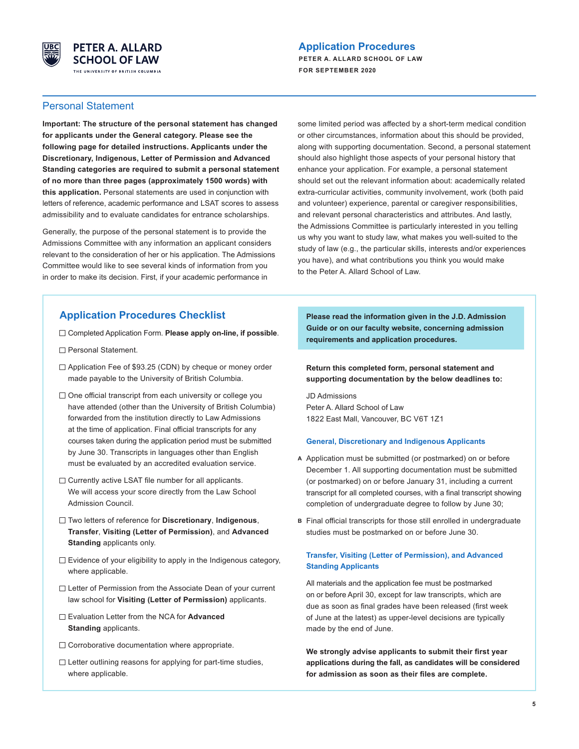

# **Application Procedures**

**PETER A. ALLARD SCHOOL OF LAW FOR SEPTEMBER 2020**

## Personal Statement

**Important: The structure of the personal statement has changed for applicants under the General category. Please see the following page for detailed instructions. Applicants under the Discretionary, Indigenous, Letter of Permission and Advanced Standing categories are required to submit a personal statement of no more than three pages (approximately 1500 words) with this application.** Personal statements are used in conjunction with letters of reference, academic performance and LSAT scores to assess admissibility and to evaluate candidates for entrance scholarships.

Generally, the purpose of the personal statement is to provide the Admissions Committee with any information an applicant considers relevant to the consideration of her or his application. The Admissions Committee would like to see several kinds of information from you in order to make its decision. First, if your academic performance in

some limited period was affected by a short-term medical condition or other circumstances, information about this should be provided, along with supporting documentation. Second, a personal statement should also highlight those aspects of your personal history that enhance your application. For example, a personal statement should set out the relevant information about: academically related extra-curricular activities, community involvement, work (both paid and volunteer) experience, parental or caregiver responsibilities, and relevant personal characteristics and attributes. And lastly, the Admissions Committee is particularly interested in you telling us why you want to study law, what makes you well-suited to the study of law (e.g., the particular skills, interests and/or experiences you have), and what contributions you think you would make to the Peter A. Allard School of Law.

# **Application Procedures Checklist**

- Completed Application Form. **Please apply on-line, if possible**.
- □ Personal Statement.
- $\Box$  Application Fee of \$93.25 (CDN) by cheque or money order made payable to the University of British Columbia.
- $\square$  One official transcript from each university or college you have attended (other than the University of British Columbia) forwarded from the institution directly to Law Admissions at the time of application. Final official transcripts for any courses taken during the application period must be submitted by June 30. Transcripts in languages other than English must be evaluated by an accredited evaluation service.
- $\Box$  Currently active LSAT file number for all applicants. We will access your score directly from the Law School Admission Council.
- Two letters of reference for **Discretionary**, **Indigenous**, **Transfer**, **Visiting (Letter of Permission)**, and **Advanced Standing** applicants only.
- $\Box$  Evidence of your eligibility to apply in the Indigenous category, where applicable.
- □ Letter of Permission from the Associate Dean of your current law school for **Visiting (Letter of Permission)** applicants.
- Evaluation Letter from the NCA for **Advanced Standing** applicants.
- $\Box$  Corroborative documentation where appropriate.
- $\Box$  Letter outlining reasons for applying for part-time studies, where applicable.

 **Please read the information given in the J.D. Admission Guide or on our faculty website, concerning admission requirements and application procedures.** 

#### **Return this completed form, personal statement and supporting documentation by the below deadlines to:**

JD Admissions Peter A. Allard School of Law 1822 East Mall, Vancouver, BC V6T 1Z1

#### **General, Discretionary and Indigenous Applicants**

- **A** Application must be submitted (or postmarked) on or before December 1. All supporting documentation must be submitted (or postmarked) on or before January 31, including a current transcript for all completed courses, with a final transcript showing completion of undergraduate degree to follow by June 30;
- **B** Final official transcripts for those still enrolled in undergraduate studies must be postmarked on or before June 30.

#### **Transfer, Visiting (Letter of Permission), and Advanced Standing Applicants**

 All materials and the application fee must be postmarked on or before April 30, except for law transcripts, which are due as soon as final grades have been released (first week of June at the latest) as upper-level decisions are typically made by the end of June.

**We strongly advise applicants to submit their first year applications during the fall, as candidates will be considered for admission as soon as their files are complete.**